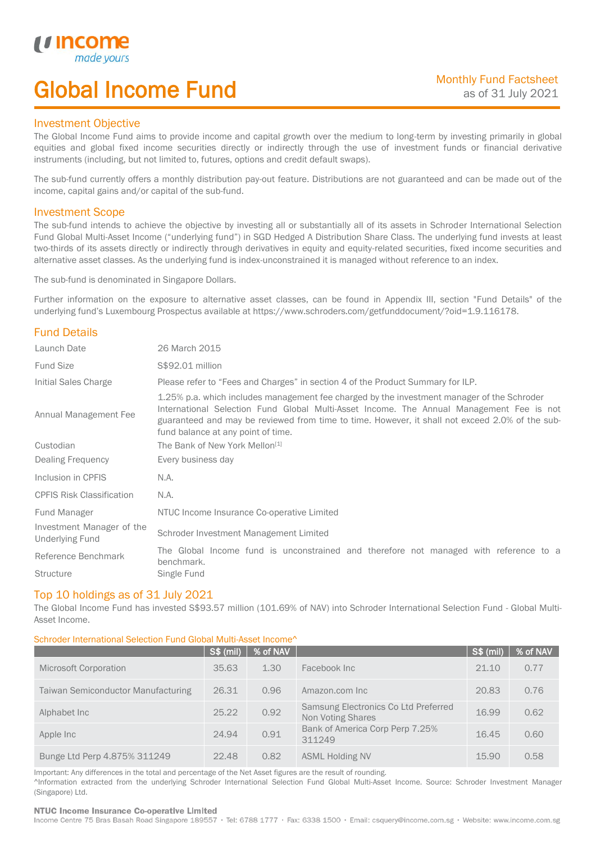# Global Income Fund

# Investment Objective

u incor

I

The Global Income Fund aims to provide income and capital growth over the medium to long-term by investing primarily in global equities and global fixed income securities directly or indirectly through the use of investment funds or financial derivative instruments (including, but not limited to, futures, options and credit default swaps).

The sub-fund currently offers a monthly distribution pay-out feature. Distributions are not guaranteed and can be made out of the income, capital gains and/or capital of the sub-fund.

# Investment Scope

The sub-fund intends to achieve the objective by investing all or substantially all of its assets in Schroder International Selection Fund Global Multi-Asset Income ("underlying fund") in SGD Hedged A Distribution Share Class. The underlying fund invests at least two-thirds of its assets directly or indirectly through derivatives in equity and equity-related securities, fixed income securities and alternative asset classes. As the underlying fund is index-unconstrained it is managed without reference to an index.

The sub-fund is denominated in Singapore Dollars.

Further information on the exposure to alternative asset classes, can be found in Appendix III, section "Fund Details" of the underlying fund's Luxembourg Prospectus available at https://www.schroders.com/getfunddocument/?oid=1.9.116178.

# Fund Details

| Launch Date                                         | 26 March 2015                                                                                                                                                                                                                                                                                                                   |  |  |  |  |
|-----------------------------------------------------|---------------------------------------------------------------------------------------------------------------------------------------------------------------------------------------------------------------------------------------------------------------------------------------------------------------------------------|--|--|--|--|
| <b>Fund Size</b>                                    | S\$92.01 million                                                                                                                                                                                                                                                                                                                |  |  |  |  |
| Initial Sales Charge                                | Please refer to "Fees and Charges" in section 4 of the Product Summary for ILP.                                                                                                                                                                                                                                                 |  |  |  |  |
| Annual Management Fee                               | 1.25% p.a. which includes management fee charged by the investment manager of the Schroder<br>International Selection Fund Global Multi-Asset Income. The Annual Management Fee is not<br>guaranteed and may be reviewed from time to time. However, it shall not exceed 2.0% of the sub-<br>fund balance at any point of time. |  |  |  |  |
| Custodian                                           | The Bank of New York Mellon <sup>[1]</sup>                                                                                                                                                                                                                                                                                      |  |  |  |  |
| Dealing Frequency                                   | Every business day                                                                                                                                                                                                                                                                                                              |  |  |  |  |
| Inclusion in CPFIS                                  | N.A.                                                                                                                                                                                                                                                                                                                            |  |  |  |  |
| <b>CPFIS Risk Classification</b>                    | N.A.                                                                                                                                                                                                                                                                                                                            |  |  |  |  |
| Fund Manager                                        | NTUC Income Insurance Co-operative Limited                                                                                                                                                                                                                                                                                      |  |  |  |  |
| Investment Manager of the<br><b>Underlying Fund</b> | Schroder Investment Management Limited                                                                                                                                                                                                                                                                                          |  |  |  |  |
| Reference Benchmark                                 | The Global Income fund is unconstrained and therefore not managed with reference to a<br>benchmark.                                                                                                                                                                                                                             |  |  |  |  |
| <b>Structure</b>                                    | Single Fund                                                                                                                                                                                                                                                                                                                     |  |  |  |  |

# Top 10 holdings as of 31 July 2021

The Global Income Fund has invested S\$93.57 million (101.69% of NAV) into Schroder International Selection Fund - Global Multi-Asset Income.

### Schroder International Selection Fund Global Multi-Asset Income^

|                                           | S\$ (mil) | % of NAV |                                                                  | S\$ (mil) | % of NAV |
|-------------------------------------------|-----------|----------|------------------------------------------------------------------|-----------|----------|
| <b>Microsoft Corporation</b>              | 35.63     | 1.30     | Facebook Inc                                                     | 21.10     | 0.77     |
| <b>Taiwan Semiconductor Manufacturing</b> | 26.31     | 0.96     | Amazon.com Inc                                                   | 20.83     | 0.76     |
| Alphabet Inc.                             | 25.22     | 0.92     | Samsung Electronics Co Ltd Preferred<br><b>Non Voting Shares</b> | 16.99     | 0.62     |
| Apple Inc                                 | 24.94     | 0.91     | Bank of America Corp Perp 7.25%<br>311249                        | 16.45     | 0.60     |
| Bunge Ltd Perp 4.875% 311249              | 22.48     | 0.82     | <b>ASML Holding NV</b>                                           | 15.90     | 0.58     |

Important: Any differences in the total and percentage of the Net Asset figures are the result of rounding. ^Information extracted from the underlying Schroder International Selection Fund Global Multi-Asset Income. Source: Schroder Investment Manager (Singapore) Ltd.

### NTUC Income Insurance Co-operative Limited

Income Centre 75 Bras Basah Road Singapore 189557 · Tel: 6788 1777 · Fax: 6338 1500 · Email: csquery@income.com.sg · Website: www.income.com.sg